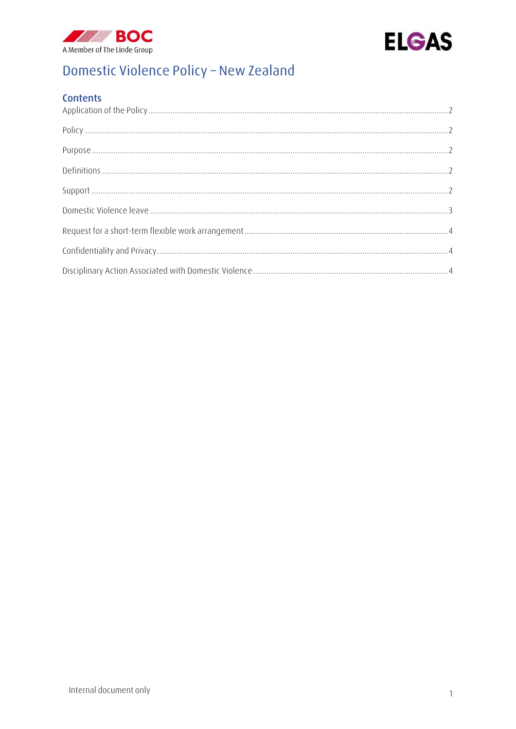



# Domestic Violence Policy - New Zealand

## **Contents**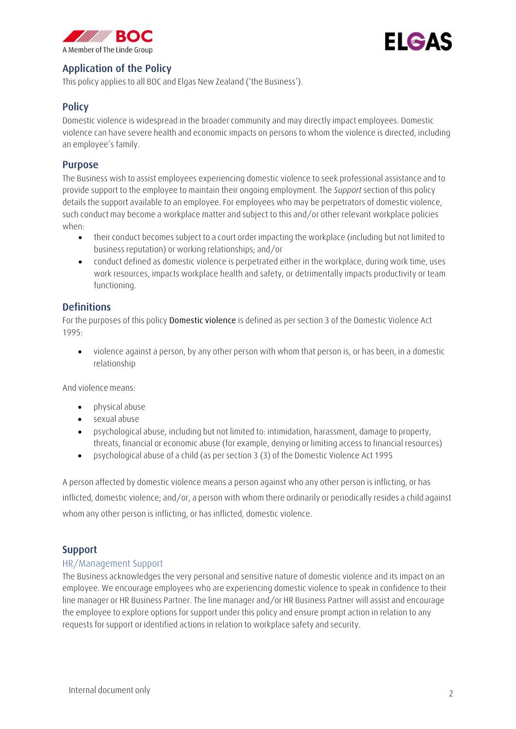



## <span id="page-1-0"></span>Application of the Policy

This policy applies to all BOC and Elgas New Zealand ('the Business').

## <span id="page-1-1"></span>**Policy**

Domestic violence is widespread in the broader community and may directly impact employees. Domestic violence can have severe health and economic impacts on persons to whom the violence is directed, including an employee's family.

## <span id="page-1-2"></span>Purpose

The Business wish to assist employees experiencing domestic violence to seek professional assistance and to provide support to the employee to maintain their ongoing employment. The *Support* section of this policy details the support available to an employee. For employees who may be perpetrators of domestic violence, such conduct may become a workplace matter and subject to this and/or other relevant workplace policies when:

- their conduct becomes subject to a court order impacting the workplace (including but not limited to business reputation) or working relationships; and/or
- conduct defined as domestic violence is perpetrated either in the workplace, during work time, uses work resources, impacts workplace health and safety, or detrimentally impacts productivity or team functioning.

## <span id="page-1-3"></span>**Definitions**

For the purposes of this policy **Domestic violence** is defined as per section 3 of the Domestic Violence Act 1995:

• violence against a person, by any other person with whom that person is, or has been, in a domestic relationship

And violence means:

- physical abuse
- sexual abuse
- psychological abuse, including but not limited to: intimidation, harassment, damage to property, threats, financial or economic abuse (for example, denying or limiting access to financial resources)
- psychological abuse of a child (as per section 3 (3) of the Domestic Violence Act 1995

A person affected by domestic violence means a person against who any other person is inflicting, or has inflicted, domestic violence; and/or, a person with whom there ordinarily or periodically resides a child against whom any other person is inflicting, or has inflicted, domestic violence.

### <span id="page-1-4"></span>Support

#### HR/Management Support

The Business acknowledges the very personal and sensitive nature of domestic violence and its impact on an employee. We encourage employees who are experiencing domestic violence to speak in confidence to their line manager or HR Business Partner. The line manager and/or HR Business Partner will assist and encourage the employee to explore options for support under this policy and ensure prompt action in relation to any requests for support or identified actions in relation to workplace safety and security.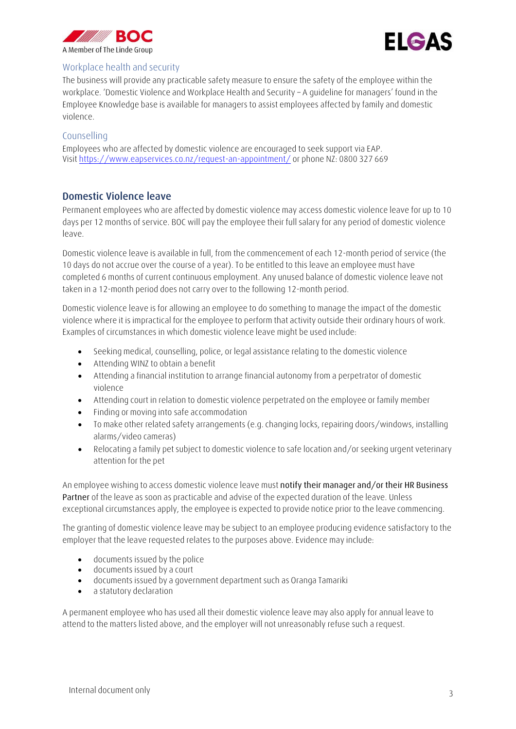



#### Workplace health and security

The business will provide any practicable safety measure to ensure the safety of the employee within the workplace. 'Domestic Violence and Workplace Health and Security – A guideline for managers' found in the Employee Knowledge base is available for managers to assist employees affected by family and domestic violence.

#### Counselling

Employees who are affected by domestic violence are encouraged to seek support via EAP. Visi[t https://www.eapservices.co.nz/request-an-appointment/](https://www.eapservices.co.nz/request-an-appointment/) or phone NZ: 0800 327 669

### <span id="page-2-0"></span>Domestic Violence leave

Permanent employees who are affected by domestic violence may access domestic violence leave for up to 10 days per 12 months of service. BOC will pay the employee their full salary for any period of domestic violence leave.

Domestic violence leave is available in full, from the commencement of each 12-month period of service (the 10 days do not accrue over the course of a year). To be entitled to this leave an employee must have completed 6 months of current continuous employment. Any unused balance of domestic violence leave not taken in a 12-month period does not carry over to the following 12-month period.

Domestic violence leave is for allowing an employee to do something to manage the impact of the domestic violence where it is impractical for the employee to perform that activity outside their ordinary hours of work. Examples of circumstances in which domestic violence leave might be used include:

- Seeking medical, counselling, police, or legal assistance relating to the domestic violence
- Attending WINZ to obtain a benefit
- Attending a financial institution to arrange financial autonomy from a perpetrator of domestic violence
- Attending court in relation to domestic violence perpetrated on the employee or family member
- Finding or moving into safe accommodation
- To make other related safety arrangements (e.g. changing locks, repairing doors/windows, installing alarms/video cameras)
- Relocating a family pet subject to domestic violence to safe location and/or seeking urgent veterinary attention for the pet

An employee wishing to access domestic violence leave must **notify their manager and/or their HR Business Partner** of the leave as soon as practicable and advise of the expected duration of the leave. Unless exceptional circumstances apply, the employee is expected to provide notice prior to the leave commencing.

The granting of domestic violence leave may be subject to an employee producing evidence satisfactory to the employer that the leave requested relates to the purposes above. Evidence may include:

- documents issued by the police
- documents issued by a court
- documents issued by a government department such as Oranga Tamariki
- a statutory declaration

A permanent employee who has used all their domestic violence leave may also apply for annual leave to attend to the matters listed above, and the employer will not unreasonably refuse such a request.